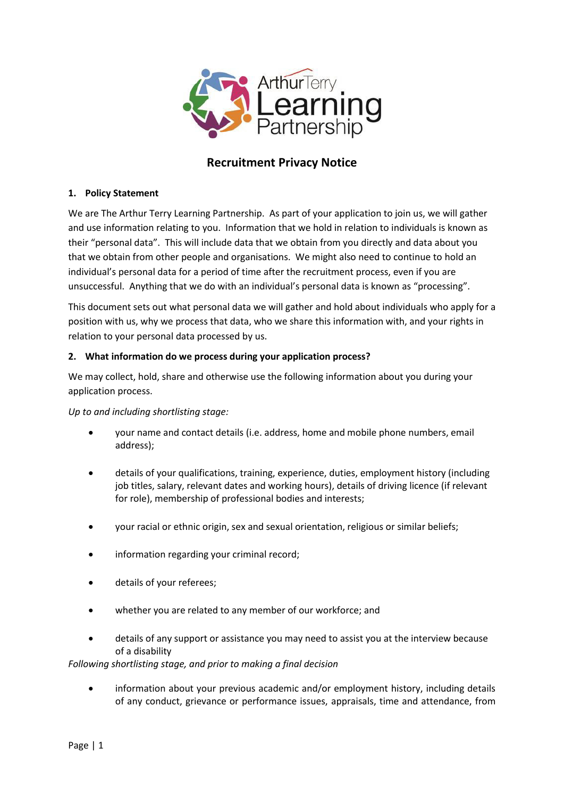

# **Recruitment Privacy Notice**

## **1. Policy Statement**

We are The Arthur Terry Learning Partnership. As part of your application to join us, we will gather and use information relating to you. Information that we hold in relation to individuals is known as their "personal data". This will include data that we obtain from you directly and data about you that we obtain from other people and organisations. We might also need to continue to hold an individual's personal data for a period of time after the recruitment process, even if you are unsuccessful. Anything that we do with an individual's personal data is known as "processing".

This document sets out what personal data we will gather and hold about individuals who apply for a position with us, why we process that data, who we share this information with, and your rights in relation to your personal data processed by us.

## **2. What information do we process during your application process?**

We may collect, hold, share and otherwise use the following information about you during your application process.

## *Up to and including shortlisting stage:*

- your name and contact details (i.e. address, home and mobile phone numbers, email address);
- details of your qualifications, training, experience, duties, employment history (including job titles, salary, relevant dates and working hours), details of driving licence (if relevant for role), membership of professional bodies and interests;
- your racial or ethnic origin, sex and sexual orientation, religious or similar beliefs;
- information regarding your criminal record;
- details of your referees;
- whether you are related to any member of our workforce; and
- details of any support or assistance you may need to assist you at the interview because of a disability

*Following shortlisting stage, and prior to making a final decision* 

 information about your previous academic and/or employment history, including details of any conduct, grievance or performance issues, appraisals, time and attendance, from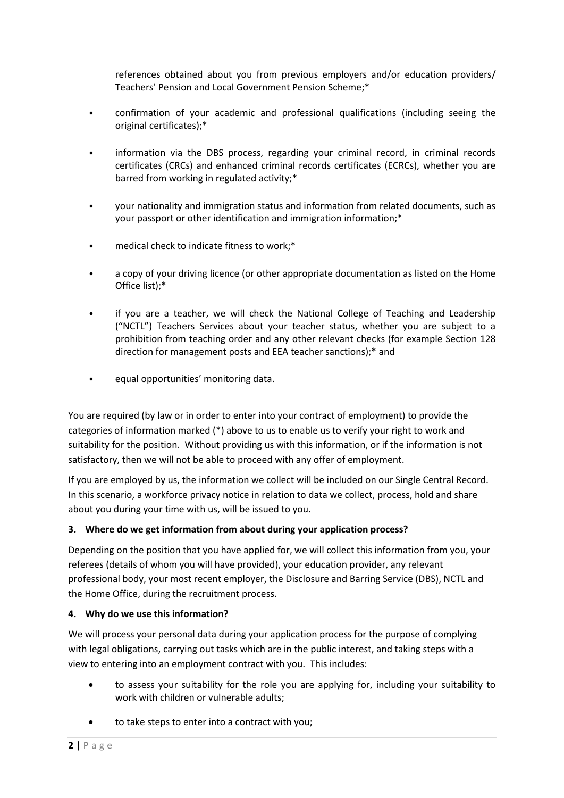references obtained about you from previous employers and/or education providers/ Teachers' Pension and Local Government Pension Scheme;\*

- confirmation of your academic and professional qualifications (including seeing the original certificates);\*
- information via the DBS process, regarding your criminal record, in criminal records certificates (CRCs) and enhanced criminal records certificates (ECRCs), whether you are barred from working in regulated activity;\*
- your nationality and immigration status and information from related documents, such as your passport or other identification and immigration information;\*
- medical check to indicate fitness to work;\*
- a copy of your driving licence (or other appropriate documentation as listed on the Home Office list);\*
- if you are a teacher, we will check the National College of Teaching and Leadership (͞NCTL͟) Teachers Services about your teacher status, whether you are subject to a prohibition from teaching order and any other relevant checks (for example Section 128 direction for management posts and EEA teacher sanctions);\* and
- equal opportunities' monitoring data.

You are required (by law or in order to enter into your contract of employment) to provide the categories of information marked (\*) above to us to enable us to verify your right to work and suitability for the position. Without providing us with this information, or if the information is not satisfactory, then we will not be able to proceed with any offer of employment.

If you are employed by us, the information we collect will be included on our Single Central Record. In this scenario, a workforce privacy notice in relation to data we collect, process, hold and share about you during your time with us, will be issued to you.

## **3. Where do we get information from about during your application process?**

Depending on the position that you have applied for, we will collect this information from you, your referees (details of whom you will have provided), your education provider, any relevant professional body, your most recent employer, the Disclosure and Barring Service (DBS), NCTL and the Home Office, during the recruitment process.

## **4. Why do we use this information?**

We will process your personal data during your application process for the purpose of complying with legal obligations, carrying out tasks which are in the public interest, and taking steps with a view to entering into an employment contract with you. This includes:

- to assess your suitability for the role you are applying for, including your suitability to work with children or vulnerable adults;
- to take steps to enter into a contract with you;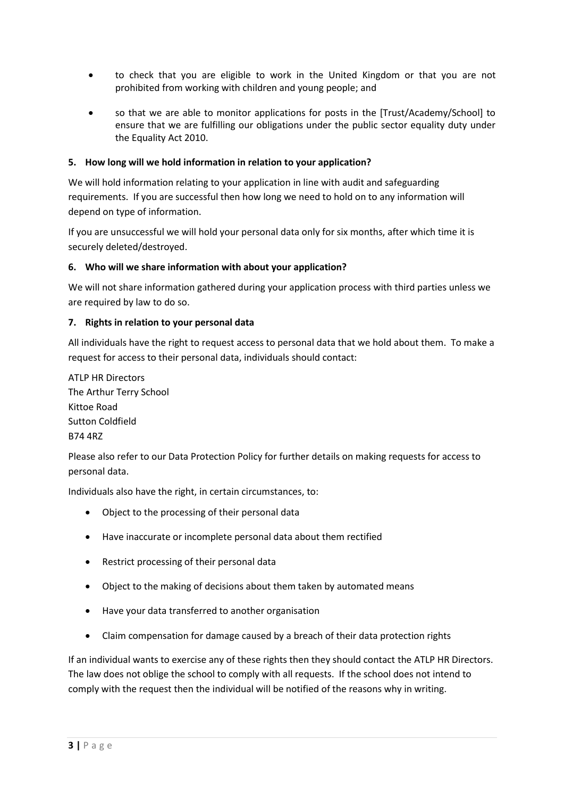- to check that you are eligible to work in the United Kingdom or that you are not prohibited from working with children and young people; and
- so that we are able to monitor applications for posts in the [Trust/Academy/School] to ensure that we are fulfilling our obligations under the public sector equality duty under the Equality Act 2010.

## **5. How long will we hold information in relation to your application?**

We will hold information relating to your application in line with audit and safeguarding requirements. If you are successful then how long we need to hold on to any information will depend on type of information.

If you are unsuccessful we will hold your personal data only for six months, after which time it is securely deleted/destroyed.

#### **6. Who will we share information with about your application?**

We will not share information gathered during your application process with third parties unless we are required by law to do so.

#### **7. Rights in relation to your personal data**

All individuals have the right to request access to personal data that we hold about them. To make a request for access to their personal data, individuals should contact:

ATLP HR Directors The Arthur Terry School Kittoe Road Sutton Coldfield B74 4RZ

Please also refer to our Data Protection Policy for further details on making requests for access to personal data.

Individuals also have the right, in certain circumstances, to:

- Object to the processing of their personal data
- Have inaccurate or incomplete personal data about them rectified
- Restrict processing of their personal data
- Object to the making of decisions about them taken by automated means
- Have your data transferred to another organisation
- Claim compensation for damage caused by a breach of their data protection rights

If an individual wants to exercise any of these rights then they should contact the ATLP HR Directors. The law does not oblige the school to comply with all requests. If the school does not intend to comply with the request then the individual will be notified of the reasons why in writing.